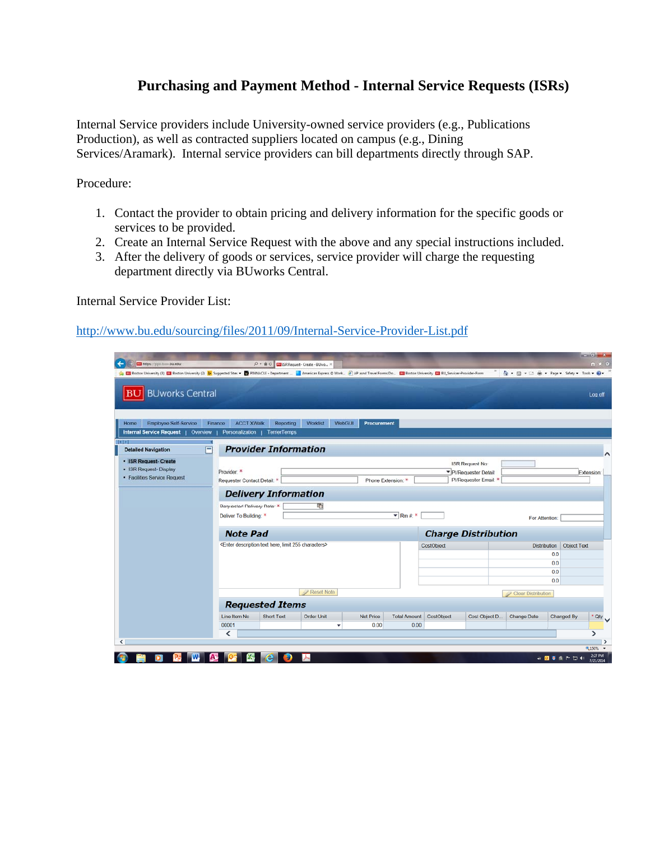## **Purchasing and Payment Method - Internal Service Requests (ISRs)**

Internal Service providers include University-owned service providers (e.g., Publications Production), as well as contracted suppliers located on campus (e.g., Dining Services/Aramark). Internal service providers can bill departments directly through SAP.

Procedure:

- 1. Contact the provider to obtain pricing and delivery information for the specific goods or services to be provided.
- 2. Create an Internal Service Request with the above and any special instructions included.
- 3. After the delivery of goods or services, service provider will charge the requesting department directly via BUworks Central.

Internal Service Provider List:

http://www.bu.edu/sourcing/files/2011/09/Internal-Service-Provider-List.pdf

| <b>EU https://ppo.buw.bu.edu</b><br>[3] Boston University (3) [3] Boston University (2) [b] Suggested Sites . [b] PINNACLE - Department  [a] American Express @ Work [c] AP asnd Travel Forms Do [c] Boston University [2] BU_Servicer-Provider-Form |                                                      | P - B C EU ISR Request- Create - BUwo X                                       |                   |                       |                                 |                            |                                                                      | ☆ - 回 - □ 曲 - Page - Safety - Took - ☆ |                    | $n \times 0$ |  |  |
|------------------------------------------------------------------------------------------------------------------------------------------------------------------------------------------------------------------------------------------------------|------------------------------------------------------|-------------------------------------------------------------------------------|-------------------|-----------------------|---------------------------------|----------------------------|----------------------------------------------------------------------|----------------------------------------|--------------------|--------------|--|--|
| <b>BUworks Central</b><br>BU                                                                                                                                                                                                                         |                                                      |                                                                               |                   |                       |                                 |                            |                                                                      |                                        |                    | Log off      |  |  |
| Employee Self-Service<br>Home                                                                                                                                                                                                                        | Finance<br><b>ACCT XWalk</b>                         | Reporting                                                                     | Worklist          | WebGUI<br>Procurement |                                 |                            |                                                                      |                                        |                    |              |  |  |
| <b>Internal Service Request</b><br>Overview<br>$\frac{1}{2}$<br><b>Detailed Navigation</b>                                                                                                                                                           | Personalization<br>F                                 | <b>TerrierTemps</b><br><b>Provider Information</b>                            |                   |                       |                                 |                            |                                                                      |                                        |                    |              |  |  |
| · ISR Request- Create<br>• ISR Request- Display<br>· Facilities Service Request                                                                                                                                                                      | Provider: *<br>Requester Contact Detail: *           |                                                                               |                   |                       | Phone Extension: *              |                            | <b>ISR Request No:</b><br>PI/Requester Detail<br>Pl/Requester Email: |                                        |                    | Extension:   |  |  |
|                                                                                                                                                                                                                                                      |                                                      | <b>Delivery Information</b>                                                   |                   |                       |                                 |                            |                                                                      |                                        |                    |              |  |  |
|                                                                                                                                                                                                                                                      | Requested Delivery Date: *<br>Deliver To Building: * |                                                                               | 哣                 |                       | $\overline{\mathbf{v}}$ Rm #: * |                            |                                                                      | For Attention:                         |                    |              |  |  |
|                                                                                                                                                                                                                                                      | <b>Note Pad</b>                                      |                                                                               |                   |                       |                                 | <b>Charge Distribution</b> |                                                                      |                                        |                    |              |  |  |
|                                                                                                                                                                                                                                                      |                                                      | <enter 255="" characters="" description="" here,="" limit="" text=""></enter> |                   |                       |                                 | CostObject                 |                                                                      | <b>Distribution</b>                    | <b>Object Text</b> |              |  |  |
|                                                                                                                                                                                                                                                      |                                                      |                                                                               |                   |                       |                                 |                            |                                                                      |                                        | 0.0<br>0.0         |              |  |  |
|                                                                                                                                                                                                                                                      |                                                      |                                                                               |                   |                       |                                 |                            |                                                                      |                                        | 0.0                |              |  |  |
|                                                                                                                                                                                                                                                      |                                                      |                                                                               |                   |                       |                                 |                            |                                                                      |                                        | 0.0                |              |  |  |
|                                                                                                                                                                                                                                                      |                                                      |                                                                               | Reset Note        |                       |                                 |                            |                                                                      | <b>Clear Distribution</b>              |                    |              |  |  |
|                                                                                                                                                                                                                                                      |                                                      | <b>Requested Items</b>                                                        |                   |                       |                                 |                            |                                                                      |                                        |                    |              |  |  |
|                                                                                                                                                                                                                                                      | Line Item No.                                        | <b>Short Text</b>                                                             | <b>Order Unit</b> | <b>Net Price</b>      | <b>Total Amount</b>             | CostObject                 | Cost Object D.                                                       | <b>Change Date</b>                     | Changed By         | oty V        |  |  |
|                                                                                                                                                                                                                                                      | 00001                                                |                                                                               | ٠                 | 0.00                  | 0.00                            |                            |                                                                      |                                        |                    |              |  |  |
|                                                                                                                                                                                                                                                      | ≺                                                    |                                                                               |                   |                       |                                 |                            |                                                                      |                                        |                    | ⋗            |  |  |
|                                                                                                                                                                                                                                                      |                                                      |                                                                               |                   |                       |                                 |                            |                                                                      |                                        |                    | 电150% -      |  |  |